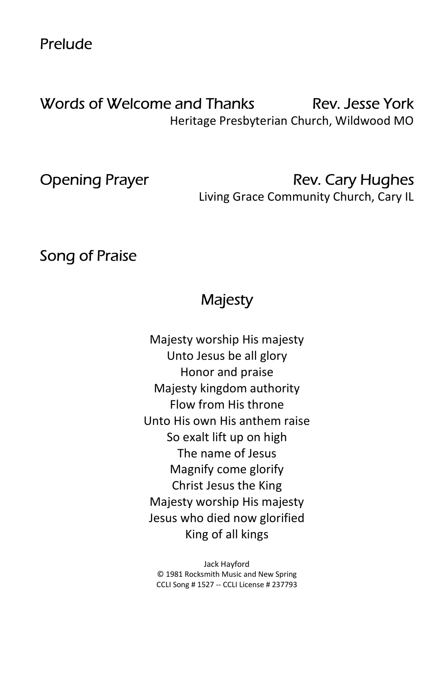## Prelude

## Words of Welcome and Thanks Rev. Jesse York Heritage Presbyterian Church, Wildwood MO

## Opening Prayer **Rev. Cary Hughes**

Living Grace Community Church, Cary IL

Song of Praise

## Majesty

Majesty worship His majesty Unto Jesus be all glory Honor and praise Majesty kingdom authority Flow from His throne Unto His own His anthem raise So exalt lift up on high The name of Jesus Magnify come glorify Christ Jesus the King Majesty worship His majesty Jesus who died now glorified King of all kings

Jack Hayford © 1981 Rocksmith Music and New Spring CCLI Song # 1527 -- CCLI License # 237793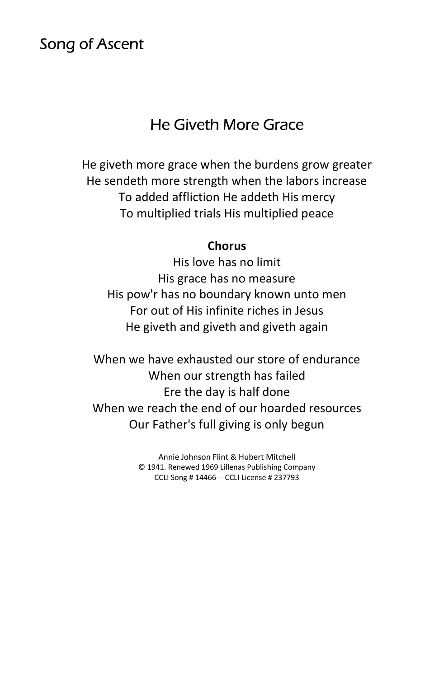## Song of Ascent

# He Giveth More Grace

He giveth more grace when the burdens grow greater He sendeth more strength when the labors increase To added affliction He addeth His mercy To multiplied trials His multiplied peace

#### Chorus

His love has no limit His grace has no measure His pow'r has no boundary known unto men For out of His infinite riches in Jesus He giveth and giveth and giveth again

When we have exhausted our store of endurance When our strength has failed Ere the day is half done When we reach the end of our hoarded resources Our Father's full giving is only begun

> Annie Johnson Flint & Hubert Mitchell © 1941. Renewed 1969 Lillenas Publishing Company CCLI Song # 14466 -- CCLI License # 237793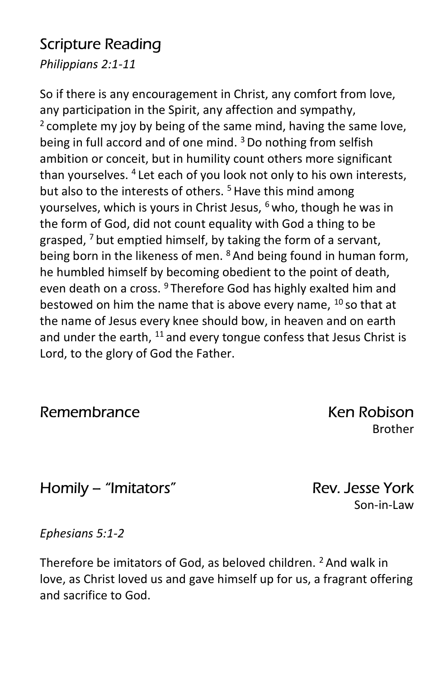# Scripture Reading

#### Philippians 2:1-11

So if there is any encouragement in Christ, any comfort from love, any participation in the Spirit, any affection and sympathy,  $2$  complete my joy by being of the same mind, having the same love, being in full accord and of one mind.  $3$  Do nothing from selfish ambition or conceit, but in humility count others more significant than yourselves. <sup>4</sup>Let each of you look not only to his own interests, but also to the interests of others.<sup>5</sup> Have this mind among yourselves, which is yours in Christ Jesus, <sup>6</sup> who, though he was in the form of God, did not count equality with God a thing to be grasped,  $<sup>7</sup>$  but emptied himself, by taking the form of a servant,</sup> being born in the likeness of men. <sup>8</sup> And being found in human form, he humbled himself by becoming obedient to the point of death, even death on a cross. <sup>9</sup>Therefore God has highly exalted him and bestowed on him the name that is above every name,  $10$  so that at the name of Jesus every knee should bow, in heaven and on earth and under the earth,  $11$  and every tongue confess that Jesus Christ is Lord, to the glory of God the Father.

## Remembrance Ken Robison

Homily – "Imitators" Rev. Jesse York

Brother

Son-in-Law

#### Ephesians 5:1-2

Therefore be imitators of God, as beloved children. <sup>2</sup> And walk in love, as Christ loved us and gave himself up for us, a fragrant offering and sacrifice to God.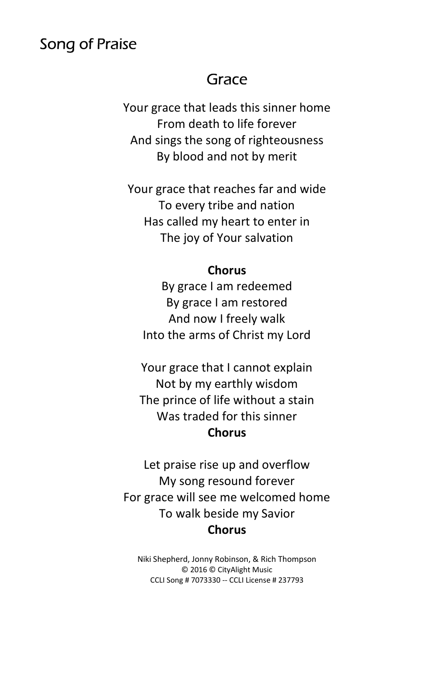## Song of Praise

## Grace

Your grace that leads this sinner home From death to life forever And sings the song of righteousness By blood and not by merit

Your grace that reaches far and wide To every tribe and nation Has called my heart to enter in The joy of Your salvation

#### **Chorus**

By grace I am redeemed By grace I am restored And now I freely walk Into the arms of Christ my Lord

Your grace that I cannot explain Not by my earthly wisdom The prince of life without a stain Was traded for this sinner **Chorus** 

Let praise rise up and overflow My song resound forever For grace will see me welcomed home To walk beside my Savior **Chorus** 

Niki Shepherd, Jonny Robinson, & Rich Thompson © 2016 © CityAlight Music CCLI Song # 7073330 -- CCLI License # 237793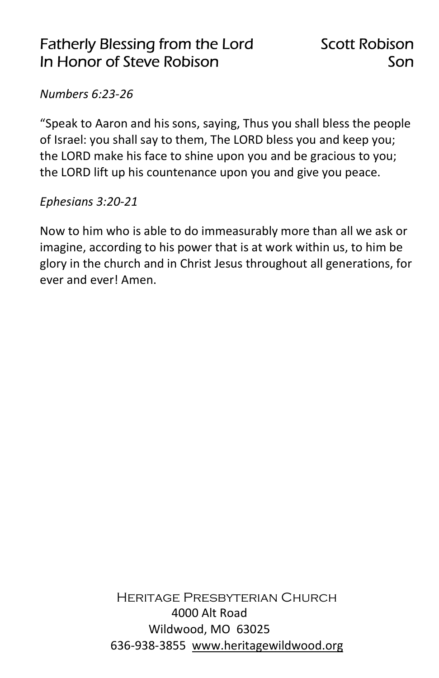# Fatherly Blessing from the Lord Scott Robison In Honor of Steve Robison Son

Numbers 6:23-26

"Speak to Aaron and his sons, saying, Thus you shall bless the people of Israel: you shall say to them, The LORD bless you and keep you; the LORD make his face to shine upon you and be gracious to you; the LORD lift up his countenance upon you and give you peace.

Ephesians 3:20-21

Now to him who is able to do immeasurably more than all we ask or imagine, according to his power that is at work within us, to him be glory in the church and in Christ Jesus throughout all generations, for ever and ever! Amen.

> Heritage Presbyterian Church 4000 Alt Road Wildwood, MO 63025 636-938-3855 www.heritagewildwood.org